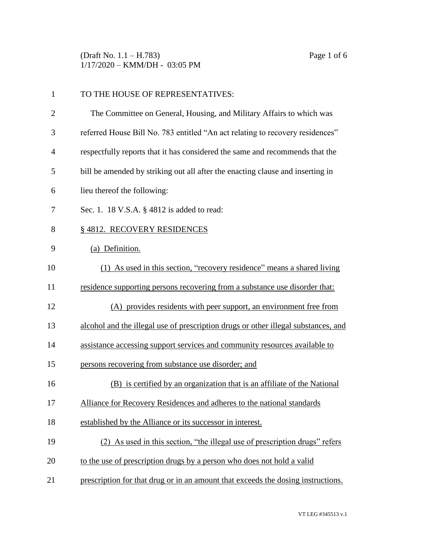(Draft No. 1.1 – H.783) Page 1 of 6 1/17/2020 – KMM/DH - 03:05 PM

| $\mathbf{1}$   | TO THE HOUSE OF REPRESENTATIVES:                                                   |  |
|----------------|------------------------------------------------------------------------------------|--|
| $\overline{2}$ | The Committee on General, Housing, and Military Affairs to which was               |  |
| 3              | referred House Bill No. 783 entitled "An act relating to recovery residences"      |  |
| $\overline{4}$ | respectfully reports that it has considered the same and recommends that the       |  |
| 5              | bill be amended by striking out all after the enacting clause and inserting in     |  |
| 6              | lieu thereof the following:                                                        |  |
| 7              | Sec. 1. 18 V.S.A. § 4812 is added to read:                                         |  |
| 8              | §4812. RECOVERY RESIDENCES                                                         |  |
| 9              | (a) Definition.                                                                    |  |
| 10             | (1) As used in this section, "recovery residence" means a shared living            |  |
| 11             | residence supporting persons recovering from a substance use disorder that:        |  |
| 12             | (A) provides residents with peer support, an environment free from                 |  |
| 13             | alcohol and the illegal use of prescription drugs or other illegal substances, and |  |
| 14             | assistance accessing support services and community resources available to         |  |
| 15             | persons recovering from substance use disorder; and                                |  |
| 16             | (B) is certified by an organization that is an affiliate of the National           |  |
| 17             | Alliance for Recovery Residences and adheres to the national standards             |  |
| 18             | established by the Alliance or its successor in interest.                          |  |
| 19             | (2) As used in this section, "the illegal use of prescription drugs" refers        |  |
| 20             | to the use of prescription drugs by a person who does not hold a valid             |  |
| 21             | prescription for that drug or in an amount that exceeds the dosing instructions.   |  |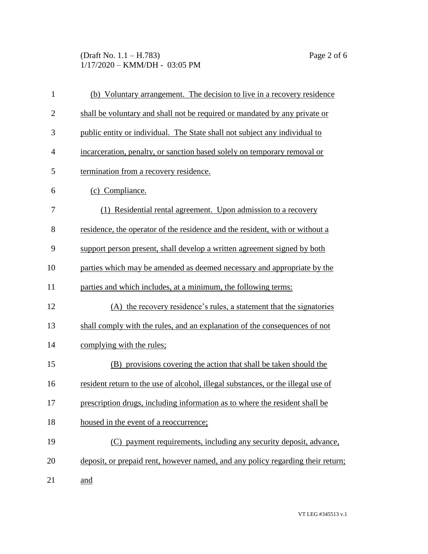## (Draft No. 1.1 – H.783) Page 2 of 6 1/17/2020 – KMM/DH - 03:05 PM

| $\mathbf{1}$   | (b) Voluntary arrangement. The decision to live in a recovery residence          |  |  |
|----------------|----------------------------------------------------------------------------------|--|--|
| $\overline{2}$ | shall be voluntary and shall not be required or mandated by any private or       |  |  |
| 3              | public entity or individual. The State shall not subject any individual to       |  |  |
| $\overline{4}$ | incarceration, penalty, or sanction based solely on temporary removal or         |  |  |
| 5              | termination from a recovery residence.                                           |  |  |
| 6              | (c) Compliance.                                                                  |  |  |
| 7              | (1) Residential rental agreement. Upon admission to a recovery                   |  |  |
| 8              | residence, the operator of the residence and the resident, with or without a     |  |  |
| 9              | support person present, shall develop a written agreement signed by both         |  |  |
| 10             | parties which may be amended as deemed necessary and appropriate by the          |  |  |
| 11             | parties and which includes, at a minimum, the following terms:                   |  |  |
| 12             | (A) the recovery residence's rules, a statement that the signatories             |  |  |
| 13             | shall comply with the rules, and an explanation of the consequences of not       |  |  |
| 14             | complying with the rules;                                                        |  |  |
| 15             | (B) provisions covering the action that shall be taken should the                |  |  |
| 16             | resident return to the use of alcohol, illegal substances, or the illegal use of |  |  |
| 17             | prescription drugs, including information as to where the resident shall be      |  |  |
| 18             | housed in the event of a reoccurrence;                                           |  |  |
| 19             | (C) payment requirements, including any security deposit, advance,               |  |  |
| 20             | deposit, or prepaid rent, however named, and any policy regarding their return;  |  |  |
| 21             | and                                                                              |  |  |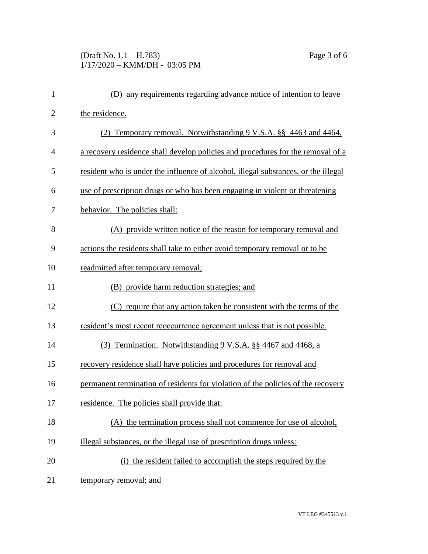## (Draft No. 1.1 – H.783) Page 3 of 6 1/17/2020 – KMM/DH - 03:05 PM

| $\mathbf{1}$   | (D) any requirements regarding advance notice of intention to leave                |  |  |
|----------------|------------------------------------------------------------------------------------|--|--|
| $\overline{2}$ | the residence.                                                                     |  |  |
| 3              | (2) Temporary removal. Notwithstanding 9 V.S.A. §§ 4463 and 4464,                  |  |  |
| $\overline{4}$ | a recovery residence shall develop policies and procedures for the removal of a    |  |  |
| 5              | resident who is under the influence of alcohol, illegal substances, or the illegal |  |  |
| 6              | use of prescription drugs or who has been engaging in violent or threatening       |  |  |
| 7              | behavior. The policies shall:                                                      |  |  |
| 8              | (A) provide written notice of the reason for temporary removal and                 |  |  |
| 9              | actions the residents shall take to either avoid temporary removal or to be        |  |  |
| 10             | readmitted after temporary removal;                                                |  |  |
| 11             | (B) provide harm reduction strategies; and                                         |  |  |
| 12             | (C) require that any action taken be consistent with the terms of the              |  |  |
| 13             | resident's most recent reoccurrence agreement unless that is not possible.         |  |  |
| 14             | (3) Termination. Notwithstanding 9 V.S.A. §§ 4467 and 4468, a                      |  |  |
| 15             | recovery residence shall have policies and procedures for removal and              |  |  |
| 16             | permanent termination of residents for violation of the policies of the recovery   |  |  |
| 17             | residence. The policies shall provide that:                                        |  |  |
| 18             | (A) the termination process shall not commence for use of alcohol,                 |  |  |
| 19             | illegal substances, or the illegal use of prescription drugs unless:               |  |  |
| 20             | (i) the resident failed to accomplish the steps required by the                    |  |  |
| 21             | temporary removal; and                                                             |  |  |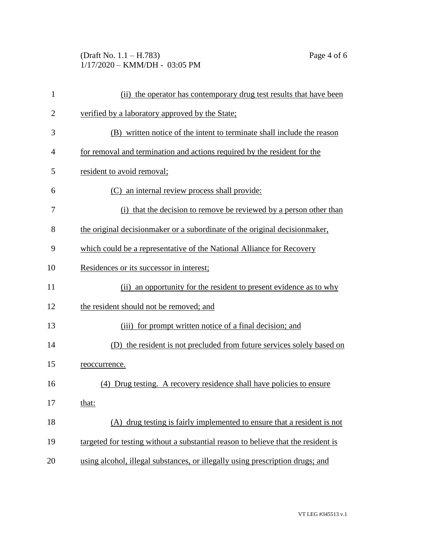#### (Draft No. 1.1 – H.783) Page 4 of 6 1/17/2020 – KMM/DH - 03:05 PM

| 1              | (ii) the operator has contemporary drug test results that have been               |  |  |
|----------------|-----------------------------------------------------------------------------------|--|--|
| $\overline{2}$ | verified by a laboratory approved by the State;                                   |  |  |
| 3              | (B) written notice of the intent to terminate shall include the reason            |  |  |
| $\overline{4}$ | for removal and termination and actions required by the resident for the          |  |  |
| 5              | resident to avoid removal;                                                        |  |  |
| 6              | (C) an internal review process shall provide:                                     |  |  |
| 7              | (i) that the decision to remove be reviewed by a person other than                |  |  |
| 8              | the original decision maker or a subordinate of the original decision maker,      |  |  |
| 9              | which could be a representative of the National Alliance for Recovery             |  |  |
| 10             | Residences or its successor in interest;                                          |  |  |
| 11             | (ii) an opportunity for the resident to present evidence as to why                |  |  |
| 12             | the resident should not be removed; and                                           |  |  |
| 13             | (iii) for prompt written notice of a final decision; and                          |  |  |
| 14             | (D) the resident is not precluded from future services solely based on            |  |  |
| 15             | reoccurrence.                                                                     |  |  |
| 16             | (4) Drug testing. A recovery residence shall have policies to ensure              |  |  |
| 17             | that:                                                                             |  |  |
| 18             | (A) drug testing is fairly implemented to ensure that a resident is not           |  |  |
| 19             | targeted for testing without a substantial reason to believe that the resident is |  |  |
| 20             | using alcohol, illegal substances, or illegally using prescription drugs; and     |  |  |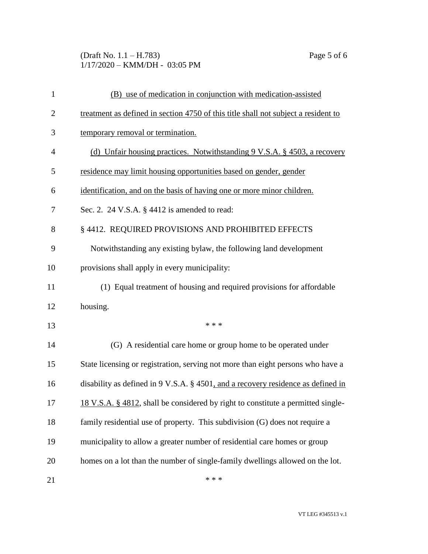## (Draft No. 1.1 – H.783) Page 5 of 6 1/17/2020 – KMM/DH - 03:05 PM

| $\mathbf{1}$   | (B) use of medication in conjunction with medication-assisted                      |  |  |
|----------------|------------------------------------------------------------------------------------|--|--|
| $\overline{2}$ | treatment as defined in section 4750 of this title shall not subject a resident to |  |  |
| 3              | temporary removal or termination.                                                  |  |  |
| $\overline{4}$ | (d) Unfair housing practices. Notwithstanding 9 V.S.A. § 4503, a recovery          |  |  |
| 5              | residence may limit housing opportunities based on gender, gender                  |  |  |
| 6              | identification, and on the basis of having one or more minor children.             |  |  |
| 7              | Sec. 2. 24 V.S.A. $\S$ 4412 is amended to read:                                    |  |  |
| 8              | § 4412. REQUIRED PROVISIONS AND PROHIBITED EFFECTS                                 |  |  |
| 9              | Notwithstanding any existing bylaw, the following land development                 |  |  |
| 10             | provisions shall apply in every municipality:                                      |  |  |
| 11             | (1) Equal treatment of housing and required provisions for affordable              |  |  |
| 12             | housing.                                                                           |  |  |
| 13             | * * *                                                                              |  |  |
| 14             | (G) A residential care home or group home to be operated under                     |  |  |
| 15             | State licensing or registration, serving not more than eight persons who have a    |  |  |
| 16             | disability as defined in 9 V.S.A. § 4501, and a recovery residence as defined in   |  |  |
| 17             | 18 V.S.A. § 4812, shall be considered by right to constitute a permitted single-   |  |  |
| 18             | family residential use of property. This subdivision (G) does not require a        |  |  |
| 19             | municipality to allow a greater number of residential care homes or group          |  |  |
| 20             | homes on a lot than the number of single-family dwellings allowed on the lot.      |  |  |
| 21             | * * *                                                                              |  |  |